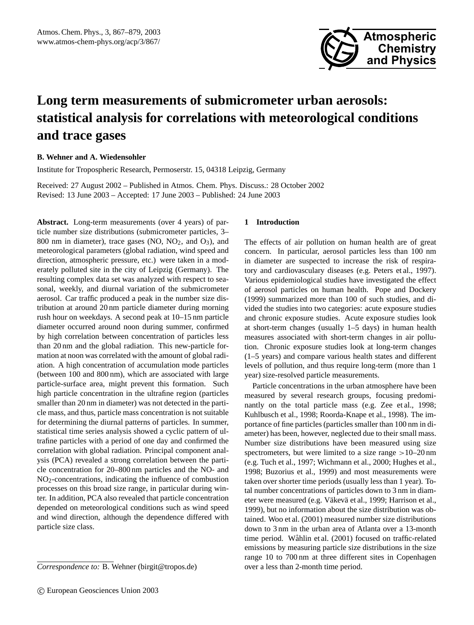

# **Long term measurements of submicrometer urban aerosols: statistical analysis for correlations with meteorological conditions and trace gases**

# **B. Wehner and A. Wiedensohler**

Institute for Tropospheric Research, Permoserstr. 15, 04318 Leipzig, Germany

Received: 27 August 2002 – Published in Atmos. Chem. Phys. Discuss.: 28 October 2002 Revised: 13 June 2003 – Accepted: 17 June 2003 – Published: 24 June 2003

**Abstract.** Long-term measurements (over 4 years) of particle number size distributions (submicrometer particles, 3– 800 nm in diameter), trace gases (NO,  $NO<sub>2</sub>$ , and  $O<sub>3</sub>$ ), and meteorological parameters (global radiation, wind speed and direction, atmospheric pressure, etc.) were taken in a moderately polluted site in the city of Leipzig (Germany). The resulting complex data set was analyzed with respect to seasonal, weekly, and diurnal variation of the submicrometer aerosol. Car traffic produced a peak in the number size distribution at around 20 nm particle diameter during morning rush hour on weekdays. A second peak at 10–15 nm particle diameter occurred around noon during summer, confirmed by high correlation between concentration of particles less than 20 nm and the global radiation. This new-particle formation at noon was correlated with the amount of global radiation. A high concentration of accumulation mode particles (between 100 and 800 nm), which are associated with large particle-surface area, might prevent this formation. Such high particle concentration in the ultrafine region (particles smaller than 20 nm in diameter) was not detected in the particle mass, and thus, particle mass concentration is not suitable for determining the diurnal patterns of particles. In summer, statistical time series analysis showed a cyclic pattern of ultrafine particles with a period of one day and confirmed the correlation with global radiation. Principal component analysis (PCA) revealed a strong correlation between the particle concentration for 20–800 nm particles and the NO- and NO2-concentrations, indicating the influence of combustion processes on this broad size range, in particular during winter. In addition, PCA also revealed that particle concentration depended on meteorological conditions such as wind speed and wind direction, although the dependence differed with particle size class.

#### **1 Introduction**

The effects of air pollution on human health are of great concern. In particular, aerosol particles less than 100 nm in diameter are suspected to increase the risk of respiratory and cardiovasculary diseases (e.g. Peters et al., 1997). Various epidemiological studies have investigated the effect of aerosol particles on human health. Pope and Dockery (1999) summarized more than 100 of such studies, and divided the studies into two categories: acute exposure studies and chronic exposure studies. Acute exposure studies look at short-term changes (usually 1–5 days) in human health measures associated with short-term changes in air pollution. Chronic exposure studies look at long-term changes (1–5 years) and compare various health states and different levels of pollution, and thus require long-term (more than 1 year) size-resolved particle measurements.

Particle concentrations in the urban atmosphere have been measured by several research groups, focusing predominantly on the total particle mass (e.g. Zee et al., 1998; Kuhlbusch et al., 1998; Roorda-Knape et al., 1998). The importance of fine particles (particles smaller than 100 nm in diameter) has been, however, neglected due to their small mass. Number size distributions have been measured using size spectrometers, but were limited to a size range >10–20 nm (e.g. Tuch et al., 1997; Wichmann et al., 2000; Hughes et al., 1998; Buzorius et al., 1999) and most measurements were taken over shorter time periods (usually less than 1 year). Total number concentrations of particles down to 3 nm in diameter were measured (e.g. Väkevä et al., 1999; Harrison et al., 1999), but no information about the size distribution was obtained. Woo et al. (2001) measured number size distributions down to 3 nm in the urban area of Atlanta over a 13-month time period. Wåhlin et al. (2001) focused on traffic-related emissions by measuring particle size distributions in the size range 10 to 700 nm at three different sites in Copenhagen over a less than 2-month time period.

*Correspondence to:* B. Wehner (birgit@tropos.de)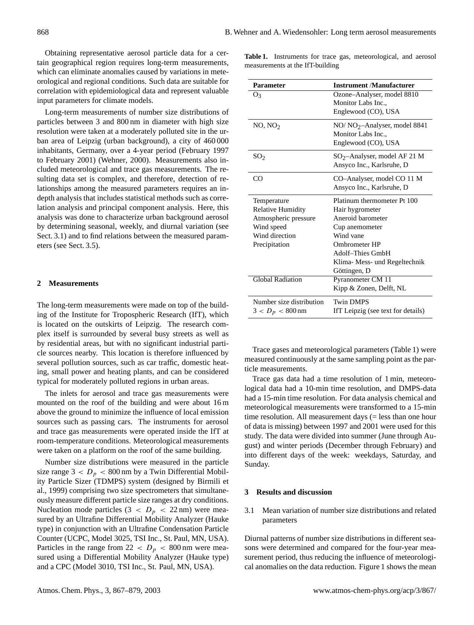Obtaining representative aerosol particle data for a certain geographical region requires long-term measurements, which can eliminate anomalies caused by variations in meteorological and regional conditions. Such data are suitable for correlation with epidemiological data and represent valuable input parameters for climate models.

Long-term measurements of number size distributions of particles between 3 and 800 nm in diameter with high size resolution were taken at a moderately polluted site in the urban area of Leipzig (urban background), a city of 460 000 inhabitants, Germany, over a 4-year period (February 1997 to February 2001) (Wehner, 2000). Measurements also included meteorological and trace gas measurements. The resulting data set is complex, and therefore, detection of relationships among the measured parameters requires an indepth analysis that includes statistical methods such as correlation analysis and principal component analysis. Here, this analysis was done to characterize urban background aerosol by determining seasonal, weekly, and diurnal variation (see Sect. 3.1) and to find relations between the measured parameters (see Sect. 3.5).

# **2 Measurements**

The long-term measurements were made on top of the building of the Institute for Tropospheric Research (IfT), which is located on the outskirts of Leipzig. The research complex itself is surrounded by several busy streets as well as by residential areas, but with no significant industrial particle sources nearby. This location is therefore influenced by several pollution sources, such as car traffic, domestic heating, small power and heating plants, and can be considered typical for moderately polluted regions in urban areas.

The inlets for aerosol and trace gas measurements were mounted on the roof of the building and were about 16 m above the ground to minimize the influence of local emission sources such as passing cars. The instruments for aerosol and trace gas measurements were operated inside the IfT at room-temperature conditions. Meteorological measurements were taken on a platform on the roof of the same building.

Number size distributions were measured in the particle size range  $3 < D_p < 800$  nm by a Twin Differential Mobility Particle Sizer (TDMPS) system (designed by Birmili et al., 1999) comprising two size spectrometers that simultaneously measure different particle size ranges at dry conditions. Nucleation mode particles  $(3 < D_p < 22 \text{ nm})$  were measured by an Ultrafine Differential Mobility Analyzer (Hauke type) in conjunction with an Ultrafine Condensation Particle Counter (UCPC, Model 3025, TSI Inc., St. Paul, MN, USA). Particles in the range from  $22 < D_p < 800$  nm were measured using a Differential Mobility Analyzer (Hauke type) and a CPC (Model 3010, TSI Inc., St. Paul, MN, USA).

**Table 1.** Instruments for trace gas, meteorological, and aerosol measurements at the IfT-building

| <b>Parameter</b>         | Instrument /Manufacturer           |
|--------------------------|------------------------------------|
| O3                       | Ozone-Analyser, model 8810         |
|                          | Monitor Labs Inc.,                 |
|                          | Englewood (CO), USA                |
| NO, NO <sub>2</sub>      | $NO/ NO2$ -Analyser, model 8841    |
|                          | Monitor Labs Inc.,                 |
|                          | Englewood (CO), USA                |
| SO <sub>2</sub>          | $SO_2$ -Analyser, model AF 21 M    |
|                          | Ansyco Inc., Karlsruhe, D          |
| CO                       | CO-Analyser, model CO 11 M         |
|                          | Ansyco Inc., Karlsruhe, D          |
| Temperature              | Platinum thermometer Pt 100        |
| <b>Relative Humidity</b> | Hair hygrometer                    |
| Atmospheric pressure     | Aneroid barometer                  |
| Wind speed               | Cup anemometer                     |
| Wind direction           | Wind vane                          |
| Precipitation            | Ombrometer HP                      |
|                          | Adolf-Thies GmbH                   |
|                          | Klima- Mess- und Regeltechnik      |
|                          | Göttingen, D                       |
| <b>Global Radiation</b>  | Pyranometer CM 11                  |
|                          | Kipp & Zonen, Delft, NL            |
| Number size distribution | <b>Twin DMPS</b>                   |
| $3 < D_p < 800$ nm       | IfT Leipzig (see text for details) |

Trace gases and meteorological parameters (Table 1) were measured continuously at the same sampling point as the particle measurements.

Trace gas data had a time resolution of 1 min, meteorological data had a 10-min time resolution, and DMPS-data had a 15-min time resolution. For data analysis chemical and meteorological measurements were transformed to a 15-min time resolution. All measurement days (= less than one hour of data is missing) between 1997 and 2001 were used for this study. The data were divided into summer (June through August) and winter periods (December through February) and into different days of the week: weekdays, Saturday, and Sunday.

# **3 Results and discussion**

3.1 Mean variation of number size distributions and related parameters

Diurnal patterns of number size distributions in different seasons were determined and compared for the four-year measurement period, thus reducing the influence of meteorological anomalies on the data reduction. Figure 1 shows the mean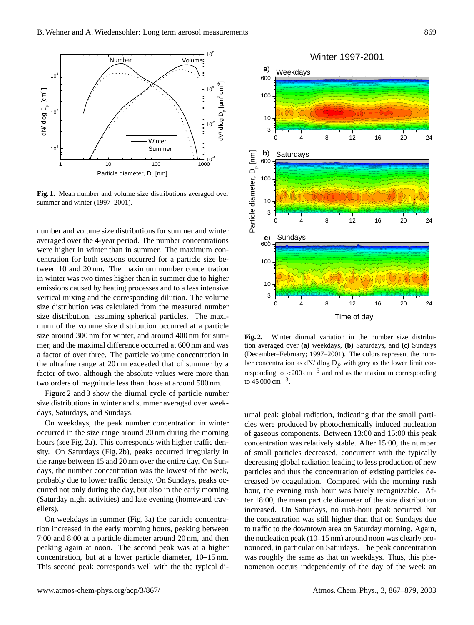

**Fig. 1.** Mean number and volume size distributions averaged over summer and winter (1997–2001).

number and volume size distributions for summer and winter averaged over the 4-year period. The number concentrations were higher in winter than in summer. The maximum concentration for both seasons occurred for a particle size between 10 and 20 nm. The maximum number concentration in winter was two times higher than in summer due to higher emissions caused by heating processes and to a less intensive vertical mixing and the corresponding dilution. The volume size distribution was calculated from the measured number size distribution, assuming spherical particles. The maximum of the volume size distribution occurred at a particle size around 300 nm for winter, and around 400 nm for summer, and the maximal difference occurred at 600 nm and was a factor of over three. The particle volume concentration in the ultrafine range at 20 nm exceeded that of summer by a factor of two, although the absolute values were more than two orders of magnitude less than those at around 500 nm.

Figure 2 and 3 show the diurnal cycle of particle number size distributions in winter and summer averaged over weekdays, Saturdays, and Sundays.

On weekdays, the peak number concentration in winter occurred in the size range around 20 nm during the morning hours (see Fig. 2a). This corresponds with higher traffic density. On Saturdays (Fig. 2b), peaks occurred irregularly in the range between 15 and 20 nm over the entire day. On Sundays, the number concentration was the lowest of the week, probably due to lower traffic density. On Sundays, peaks occurred not only during the day, but also in the early morning (Saturday night activities) and late evening (homeward travellers).

On weekdays in summer (Fig. 3a) the particle concentration increased in the early morning hours, peaking between 7:00 and 8:00 at a particle diameter around 20 nm, and then peaking again at noon. The second peak was at a higher concentration, but at a lower particle diameter, 10–15 nm. This second peak corresponds well with the the typical di-



**Fig. 2.** Winter diurnal variation in the number size distribution averaged over **(a)** weekdays, **(b)** Saturdays, and **(c)** Sundays (December–February; 1997–2001). The colors represent the number concentration as  $dN/dlog D_p$  with grey as the lower limit corresponding to  $\langle 200 \text{ cm}^{-3}$  and red as the maximum corresponding to  $45000 \text{ cm}^{-3}$ .

urnal peak global radiation, indicating that the small particles were produced by photochemically induced nucleation of gaseous components. Between 13:00 and 15:00 this peak concentration was relatively stable. After 15:00, the number of small particles decreased, concurrent with the typically decreasing global radiation leading to less production of new particles and thus the concentration of existing particles decreased by coagulation. Compared with the morning rush hour, the evening rush hour was barely recognizable. After 18:00, the mean particle diameter of the size distribution increased. On Saturdays, no rush-hour peak occurred, but the concentration was still higher than that on Sundays due to traffic to the downtown area on Saturday morning. Again, the nucleation peak (10–15 nm) around noon was clearly pronounced, in particular on Saturdays. The peak concentration was roughly the same as that on weekdays. Thus, this phenomenon occurs independently of the day of the week an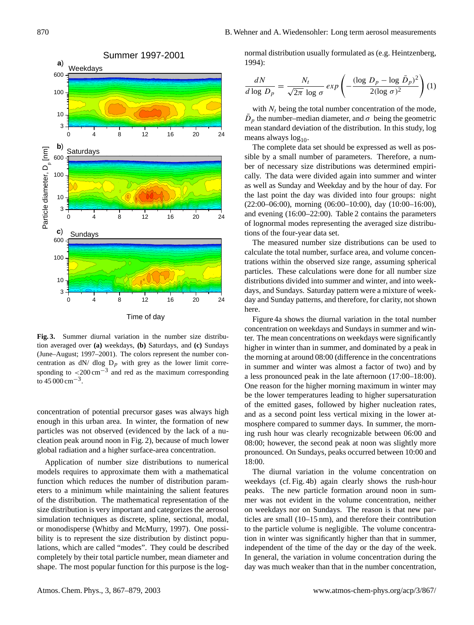

**Fig. 3.** Summer diurnal variation in the number size distribution averaged over **(a)** weekdays, **(b)** Saturdays, and **(c)** Sundays (June–August; 1997–2001). The colors represent the number concentration as  $dN/dlog D_p$  with grey as the lower limit corresponding to  $\langle 200 \text{ cm}^{-3} \rangle$  and red as the maximum corresponding to  $45000 \text{ cm}^{-3}$ .

concentration of potential precursor gases was always high enough in this urban area. In winter, the formation of new particles was not observed (evidenced by the lack of a nucleation peak around noon in Fig. 2), because of much lower global radiation and a higher surface-area concentration.

Application of number size distributions to numerical models requires to approximate them with a mathematical function which reduces the number of distribution parameters to a minimum while maintaining the salient features of the distribution. The mathematical representation of the size distribution is very important and categorizes the aerosol simulation techniques as discrete, spline, sectional, modal, or monodisperse (Whitby and McMurry, 1997). One possibility is to represent the size distribution by distinct populations, which are called "modes". They could be described completely by their total particle number, mean diameter and shape. The most popular function for this purpose is the lognormal distribution usually formulated as (e.g. Heintzenberg, 1994):

$$
\frac{dN}{d\log D_p} = \frac{N_t}{\sqrt{2\pi}\log \sigma} \exp\left(-\frac{(\log D_p - \log \bar{D}_p)^2}{2(\log \sigma)^2}\right) (1)
$$

with  $N_t$  being the total number concentration of the mode,  $\bar{D}_p$  the number–median diameter, and  $\sigma$  being the geometric mean standard deviation of the distribution. In this study, log means always  $log_{10}$ .

The complete data set should be expressed as well as possible by a small number of parameters. Therefore, a number of necessary size distributions was determined empirically. The data were divided again into summer and winter as well as Sunday and Weekday and by the hour of day. For the last point the day was divided into four groups: night (22:00–06:00), morning (06:00–10:00), day (10:00–16:00), and evening (16:00–22:00). Table 2 contains the parameters of lognormal modes representing the averaged size distributions of the four-year data set.

The measured number size distributions can be used to calculate the total number, surface area, and volume concentrations within the observed size range, assuming spherical particles. These calculations were done for all number size distributions divided into summer and winter, and into weekdays, and Sundays. Saturday pattern were a mixture of weekday and Sunday patterns, and therefore, for clarity, not shown here.

Figure 4a shows the diurnal variation in the total number concentration on weekdays and Sundays in summer and winter. The mean concentrations on weekdays were significantly higher in winter than in summer, and dominated by a peak in the morning at around 08:00 (difference in the concentrations in summer and winter was almost a factor of two) and by a less pronounced peak in the late afternoon (17:00–18:00). One reason for the higher morning maximum in winter may be the lower temperatures leading to higher supersaturation of the emitted gases, followed by higher nucleation rates, and as a second point less vertical mixing in the lower atmosphere compared to summer days. In summer, the morning rush hour was clearly recognizable between 06:00 and 08:00; however, the second peak at noon was slightly more pronounced. On Sundays, peaks occurred between 10:00 and 18:00.

The diurnal variation in the volume concentration on weekdays (cf. Fig. 4b) again clearly shows the rush-hour peaks. The new particle formation around noon in summer was not evident in the volume concentration, neither on weekdays nor on Sundays. The reason is that new particles are small (10–15 nm), and therefore their contribution to the particle volume is negligible. The volume concentration in winter was significantly higher than that in summer, independent of the time of the day or the day of the week. In general, the variation in volume concentration during the day was much weaker than that in the number concentration,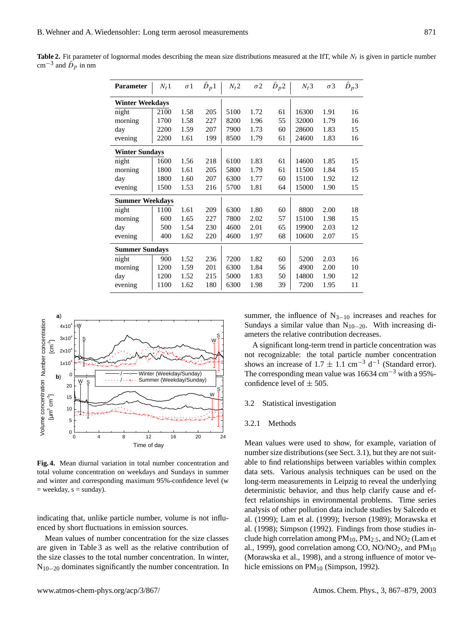| <b>Parameter</b>       | $N_t 1$ | $\sigma$ 1 | $\bar{D}_p 1$ | $N_t 2$ | $\sigma$ 2 | $D_p$ 2 | $N_t$ 3 | $\sigma$ 3 | $\bar{D}_p$ 3 |
|------------------------|---------|------------|---------------|---------|------------|---------|---------|------------|---------------|
| <b>Winter Weekdays</b> |         |            |               |         |            |         |         |            |               |
| night                  | 2100    | 1.58       | 205           | 5100    | 1.72       | 61      | 16300   | 1.91       | 16            |
| morning                | 1700    | 1.58       | 227           | 8200    | 1.96       | 55      | 32000   | 1.79       | 16            |
| day                    | 2200    | 1.59       | 207           | 7900    | 1.73       | 60      | 28600   | 1.83       | 15            |
| evening                | 2200    | 1.61       | 199           | 8500    | 1.79       | 61      | 24600   | 1.83       | 16            |
| <b>Winter Sundays</b>  |         |            |               |         |            |         |         |            |               |
| night                  | 1600    | 1.56       | 218           | 6100    | 1.83       | 61      | 14600   | 1.85       | 15            |
| morning                | 1800    | 1.61       | 205           | 5800    | 1.79       | 61      | 11500   | 1.84       | 15            |
| day                    | 1800    | 1.60       | 207           | 6300    | 1.77       | 60      | 15100   | 1.92       | 12            |
| evening                | 1500    | 1.53       | 216           | 5700    | 1.81       | 64      | 15000   | 1.90       | 15            |
| <b>Summer Weekdays</b> |         |            |               |         |            |         |         |            |               |
| night                  | 1100    | 1.61       | 209           | 6300    | 1.80       | 60      | 8800    | 2.00       | 18            |
| morning                | 600     | 1.65       | 227           | 7800    | 2.02       | 57      | 15100   | 1.98       | 15            |
| day                    | 500     | 1.54       | 230           | 4600    | 2.01       | 65      | 19900   | 2.03       | 12            |
| evening                | 400     | 1.62       | 220           | 4600    | 1.97       | 68      | 10600   | 2.07       | 15            |
| <b>Summer Sundays</b>  |         |            |               |         |            |         |         |            |               |
| night                  | 900     | 1.52       | 236           | 7200    | 1.82       | 60      | 5200    | 2.03       | 16            |
| morning                | 1200    | 1.59       | 201           | 6300    | 1.84       | 56      | 4900    | 2.00       | 10            |
| day                    | 1200    | 1.52       | 215           | 5000    | 1.83       | 50      | 14800   | 1.90       | 12            |
| evening                | 1100    | 1.62       | 180           | 6300    | 1.98       | 39      | 7200    | 1.95       | 11            |

**Table 2.** Fit parameter of lognormal modes describing the mean size distributions measured at the IfT, while  $N_t$  is given in particle number cm<sup>-3</sup> and  $\bar{D}_p$  in nm



**Fig. 4.** Mean diurnal variation in total number concentration and total volume concentration on weekdays and Sundays in summer and winter and corresponding maximum 95%-confidence level (w  $=$  weekday,  $s =$  sunday).

indicating that, unlike particle number, volume is not influenced by short fluctuations in emission sources.

Mean values of number concentration for the size classes are given in Table 3 as well as the relative contribution of the size classes to the total number concentration. In winter, N10−<sup>20</sup> dominates significantly the number concentration. In summer, the influence of  $N_{3-10}$  increases and reaches for Sundays a similar value than  $N_{10-20}$ . With increasing diameters the relative contribution decreases.

A significant long-term trend in particle concentration was not recognizable: the total particle number concentration shows an increase of 1.7  $\pm$  1.1 cm<sup>-3</sup> d<sup>-1</sup> (Standard error). The corresponding mean value was  $16634 \text{ cm}^{-3}$  with a 95%confidence level of  $\pm$  505.

#### 3.2 Statistical investigation

#### 3.2.1 Methods

Mean values were used to show, for example, variation of number size distributions (see Sect. 3.1), but they are not suitable to find relationships between variables within complex data sets. Various analysis techniques can be used on the long-term measurements in Leipzig to reveal the underlying deterministic behavior, and thus help clarify cause and effect relationships in environmental problems. Time series analysis of other pollution data include studies by Salcedo et al. (1999); Lam et al. (1999); Iverson (1989); Morawska et al. (1998); Simpson (1992). Findings from those studies include high correlation among  $PM_{10}$ ,  $PM_{2.5}$ , and  $NO_2$  (Lam et al., 1999), good correlation among CO,  $NO/NO<sub>2</sub>$ , and  $PM<sub>10</sub>$ (Morawska et al., 1998), and a strong influence of motor vehicle emissions on PM<sub>10</sub> (Simpson, 1992).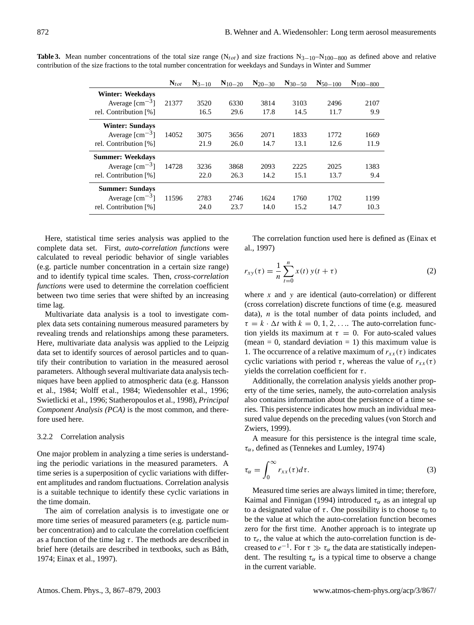|                                   | $\mathbf{N}_{tot}$ | $N_{3-10}$ | $N_{10-20}$ | $N_{20-30}$ | $N_{30-50}$ | $N_{50-100}$ | $N_{100-800}$ |
|-----------------------------------|--------------------|------------|-------------|-------------|-------------|--------------|---------------|
| <b>Winter: Weekdays</b>           |                    |            |             |             |             |              |               |
| Average $\text{[cm}^{-3}\text{]}$ | 21377              | 3520       | 6330        | 3814        | 3103        | 2496         | 2107          |
| rel. Contribution [%]             |                    | 16.5       | 29.6        | 17.8        | 14.5        | 11.7         | 9.9           |
| <b>Winter: Sundays</b>            |                    |            |             |             |             |              |               |
| Average $\text{[cm}^{-3}\text{]}$ | 14052              | 3075       | 3656        | 2071        | 1833        | 1772         | 1669          |
| rel. Contribution [%]             |                    | 21.9       | 26.0        | 14.7        | 13.1        | 12.6         | 11.9          |
| <b>Summer: Weekdays</b>           |                    |            |             |             |             |              |               |
| Average $\text{[cm}^{-3}\text{]}$ | 14728              | 3236       | 3868        | 2093        | 2225        | 2025         | 1383          |
| rel. Contribution [%]             |                    | 22.0       | 26.3        | 14.2        | 15.1        | 13.7         | 9.4           |
| <b>Summer: Sundays</b>            |                    |            |             |             |             |              |               |
| Average $\text{[cm}^{-3}\text{]}$ | 11596              | 2783       | 2746        | 1624        | 1760        | 1702         | 1199          |
| rel. Contribution [%]             |                    | 24.0       | 23.7        | 14.0        | 15.2        | 14.7         | 10.3          |

**Table 3.** Mean number concentrations of the total size range ( $N_{tot}$ ) and size fractions  $N_{3-10}-N_{100-800}$  as defined above and relative contribution of the size fractions to the total number concentration for weekdays and Sundays in Winter and Summer

Here, statistical time series analysis was applied to the complete data set. First, *auto-correlation functions* were calculated to reveal periodic behavior of single variables (e.g. particle number concentration in a certain size range) and to identify typical time scales. Then, *cross-correlation functions* were used to determine the correlation coefficient between two time series that were shifted by an increasing time lag.

Multivariate data analysis is a tool to investigate complex data sets containing numerous measured parameters by revealing trends and relationships among these parameters. Here, multivariate data analysis was applied to the Leipzig data set to identify sources of aerosol particles and to quantify their contribution to variation in the measured aerosol parameters. Although several multivariate data analysis techniques have been applied to atmospheric data (e.g. Hansson et al., 1984; Wolff et al., 1984; Wiedensohler et al., 1996; Swietlicki et al., 1996; Statheropoulos et al., 1998), *Principal Component Analysis (PCA)* is the most common, and therefore used here.

# 3.2.2 Correlation analysis

One major problem in analyzing a time series is understanding the periodic variations in the measured parameters. A time series is a superposition of cyclic variations with different amplitudes and random fluctuations. Correlation analysis is a suitable technique to identify these cyclic variations in the time domain.

The aim of correlation analysis is to investigate one or more time series of measured parameters (e.g. particle number concentration) and to calculate the correlation coefficient as a function of the time lag  $\tau$ . The methods are described in brief here (details are described in textbooks, such as Båth, 1974; Einax et al., 1997).

The correlation function used here is defined as (Einax et al., 1997)

$$
r_{xy}(\tau) = \frac{1}{n} \sum_{t=0}^{n} x(t) y(t + \tau)
$$
 (2)

where  $x$  and  $y$  are identical (auto-correlation) or different (cross correlation) discrete functions of time (e.g. measured data),  $n$  is the total number of data points included, and  $\tau = k \cdot \Delta t$  with  $k = 0, 1, 2, \ldots$  The auto-correlation function yields its maximum at  $\tau = 0$ . For auto-scaled values (mean = 0, standard deviation = 1) this maximum value is 1. The occurrence of a relative maximum of  $r_{xx}(\tau)$  indicates cyclic variations with period  $\tau$ , whereas the value of  $r_{xx}(\tau)$ yields the correlation coefficient for  $\tau$ .

Additionally, the correlation analysis yields another property of the time series, namely, the auto-correlation analysis also contains information about the persistence of a time series. This persistence indicates how much an individual measured value depends on the preceding values (von Storch and Zwiers, 1999).

A measure for this persistence is the integral time scale,  $\tau_{\alpha}$ , defined as (Tennekes and Lumley, 1974)

$$
\tau_{\alpha} = \int_0^{\infty} r_{xx}(\tau) d\tau.
$$
 (3)

Measured time series are always limited in time; therefore, Kaimal and Finnigan (1994) introduced  $\tau_{\alpha}$  as an integral up to a designated value of  $\tau$ . One possibility is to choose  $\tau_0$  to be the value at which the auto-correlation function becomes zero for the first time. Another approach is to integrate up to  $\tau_e$ , the value at which the auto-correlation function is decreased to  $e^{-1}$ . For  $\tau \gg \tau_\alpha$  the data are statistically independent. The resulting  $\tau_{\alpha}$  is a typical time to observe a change in the current variable.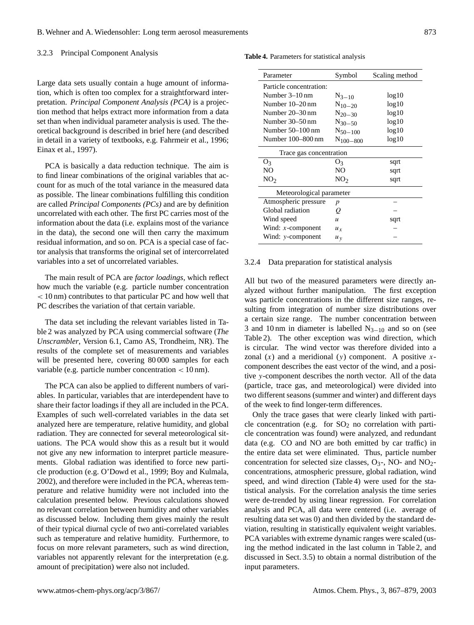# 3.2.3 Principal Component Analysis

Large data sets usually contain a huge amount of information, which is often too complex for a straightforward interpretation. *Principal Component Analysis (PCA)* is a projection method that helps extract more information from a data set than when individual parameter analysis is used. The theoretical background is described in brief here (and described in detail in a variety of textbooks, e.g. Fahrmeir et al., 1996; Einax et al., 1997).

PCA is basically a data reduction technique. The aim is to find linear combinations of the original variables that account for as much of the total variance in the measured data as possible. The linear combinations fulfilling this condition are called *Principal Components (PCs)* and are by definition uncorrelated with each other. The first PC carries most of the information about the data (i.e. explains most of the variance in the data), the second one will then carry the maximum residual information, and so on. PCA is a special case of factor analysis that transforms the original set of intercorrelated variables into a set of uncorrelated variables.

The main result of PCA are *factor loadings*, which reflect how much the variable (e.g. particle number concentration < 10 nm) contributes to that particular PC and how well that PC describes the variation of that certain variable.

The data set including the relevant variables listed in Table 2 was analyzed by PCA using commercial software (*The Unscrambler*, Version 6.1, Camo AS, Trondheim, NR). The results of the complete set of measurements and variables will be presented here, covering 80000 samples for each variable (e.g. particle number concentration  $< 10 \text{ nm}$ ).

The PCA can also be applied to different numbers of variables. In particular, variables that are interdependent have to share their factor loadings if they all are included in the PCA. Examples of such well-correlated variables in the data set analyzed here are temperature, relative humidity, and global radiation. They are connected for several meteorological situations. The PCA would show this as a result but it would not give any new information to interpret particle measurements. Global radiation was identified to force new particle production (e.g. O'Dowd et al., 1999; Boy and Kulmala, 2002), and therefore were included in the PCA, whereas temperature and relative humidity were not included into the calculation presented below. Previous calculations showed no relevant correlation between humidity and other variables as discussed below. Including them gives mainly the result of their typical diurnal cycle of two anti-correlated variables such as temperature and relative humidity. Furthermore, to focus on more relevant parameters, such as wind direction, variables not apparently relevant for the interpretation (e.g. amount of precipitation) were also not included.

**Table 4.** Parameters for statistical analysis

| Parameter                | Symbol           | Scaling method |  |  |  |  |  |
|--------------------------|------------------|----------------|--|--|--|--|--|
| Particle concentration:  |                  |                |  |  |  |  |  |
| Number $3-10$ nm         | $N_{3-10}$       | log10          |  |  |  |  |  |
| Number 10–20 nm          | $N_{10-20}$      | log10          |  |  |  |  |  |
| Number 20–30 nm          | $N_{20-30}$      | log10          |  |  |  |  |  |
| Number 30–50 nm          | $N_{30-50}$      | log10          |  |  |  |  |  |
| Number $50-100$ nm       | $N_{50-100}$     | log10          |  |  |  |  |  |
| Number 100–800 nm        | $N_{100-800}$    | log10          |  |  |  |  |  |
| Trace gas concentration  |                  |                |  |  |  |  |  |
| O <sub>3</sub>           | O <sub>3</sub>   | sqrt           |  |  |  |  |  |
| NO.                      | NO.              | sqrt           |  |  |  |  |  |
| NO <sub>2</sub>          | NO <sub>2</sub>  | sqrt           |  |  |  |  |  |
| Meteorological parameter |                  |                |  |  |  |  |  |
| Atmospheric pressure     | p                |                |  |  |  |  |  |
| Global radiation         | o                |                |  |  |  |  |  |
| Wind speed               | $\boldsymbol{u}$ | sqrt           |  |  |  |  |  |
| Wind: $x$ -component     | $u_x$            |                |  |  |  |  |  |
| Wind: $y$ -component     | $u_y$            |                |  |  |  |  |  |

## 3.2.4 Data preparation for statistical analysis

All but two of the measured parameters were directly analyzed without further manipulation. The first exception was particle concentrations in the different size ranges, resulting from integration of number size distributions over a certain size range. The number concentration between 3 and 10 nm in diameter is labelled  $N_{3-10}$  and so on (see Table 2). The other exception was wind direction, which is circular. The wind vector was therefore divided into a zonal  $(x)$  and a meridional  $(y)$  component. A positive xcomponent describes the east vector of the wind, and a positive y-component describes the north vector. All of the data (particle, trace gas, and meteorological) were divided into two different seasons (summer and winter) and different days of the week to find longer-term differences.

Only the trace gases that were clearly linked with particle concentration (e.g. for  $SO<sub>2</sub>$  no correlation with particle concentration was found) were analyzed, and redundant data (e.g. CO and NO are both emitted by car traffic) in the entire data set were eliminated. Thus, particle number concentration for selected size classes,  $O_3$ -, NO- and NO<sub>2</sub>concentrations, atmospheric pressure, global radiation, wind speed, and wind direction (Table 4) were used for the statistical analysis. For the correlation analysis the time series were de-trended by using linear regression. For correlation analysis and PCA, all data were centered (i.e. average of resulting data set was 0) and then divided by the standard deviation, resulting in statistically equivalent weight variables. PCA variables with extreme dynamic ranges were scaled (using the method indicated in the last column in Table 2, and discussed in Sect. 3.5) to obtain a normal distribution of the input parameters.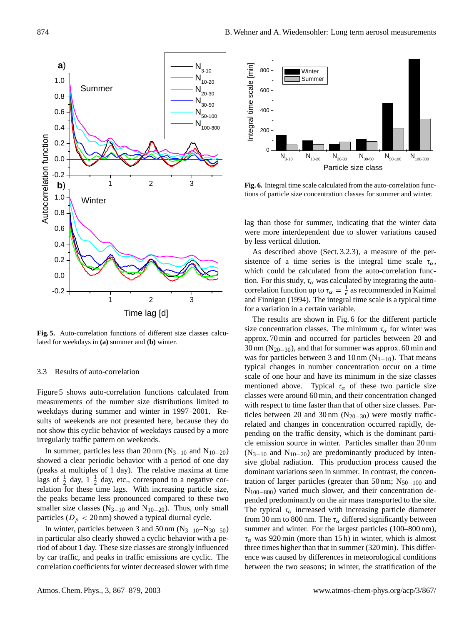

**Fig. 5.** Auto-correlation functions of different size classes calculated for weekdays in **(a)** summer and **(b)** winter.

#### 3.3 Results of auto-correlation

Figure 5 shows auto-correlation functions calculated from measurements of the number size distributions limited to weekdays during summer and winter in 1997–2001. Results of weekends are not presented here, because they do not show this cyclic behavior of weekdays caused by a more irregularly traffic pattern on weekends.

In summer, particles less than 20 nm ( $N_{3-10}$  and  $N_{10-20}$ ) showed a clear periodic behavior with a period of one day (peaks at multiples of 1 day). The relative maxima at time lags of  $\frac{1}{2}$  day,  $1\frac{1}{2}$  day, etc., correspond to a negative correlation for these time lags. With increasing particle size, the peaks became less pronounced compared to these two smaller size classes ( $N_{3-10}$  and  $N_{10-20}$ ). Thus, only small particles ( $D_p < 20$  nm) showed a typical diurnal cycle.

In winter, particles between 3 and 50 nm  $(N_{3-10}-N_{30-50})$ in particular also clearly showed a cyclic behavior with a period of about 1 day. These size classes are strongly influenced by car traffic, and peaks in traffic emissions are cyclic. The correlation coefficients for winter decreased slower with time



**Fig. 6.** Integral time scale calculated from the auto-correlation functions of particle size concentration classes for summer and winter.

lag than those for summer, indicating that the winter data were more interdependent due to slower variations caused by less vertical dilution.

As described above (Sect. 3.2.3), a measure of the persistence of a time series is the integral time scale  $\tau_{\alpha}$ , which could be calculated from the auto-correlation function. For this study,  $\tau_{\alpha}$  was calculated by integrating the autocorrelation function up to  $\tau_{\alpha} = \frac{1}{e}$  as recommended in Kaimal and Finnigan (1994). The integral time scale is a typical time for a variation in a certain variable.

The results are shown in Fig. 6 for the different particle size concentration classes. The minimum  $\tau_{\alpha}$  for winter was approx. 70 min and occurred for particles between 20 and 30 nm ( $N_{20-30}$ ), and that for summer was approx. 60 min and was for particles between 3 and 10 nm  $(N_{3-10})$ . That means typical changes in number concentration occur on a time scale of one hour and have its minimum in the size classes mentioned above. Typical  $\tau_{\alpha}$  of these two particle size classes were around 60 min, and their concentration changed with respect to time faster than that of other size classes. Particles between 20 and 30 nm ( $N_{20-30}$ ) were mostly trafficrelated and changes in concentration occurred rapidly, depending on the traffic density, which is the dominant particle emission source in winter. Particles smaller than 20 nm  $(N_{3-10}$  and  $N_{10-20}$ ) are predominantly produced by intensive global radiation. This production process caused the dominant variations seen in summer. In contrast, the concentration of larger particles (greater than 50 nm;  $N_{50-100}$  and N<sub>100−800</sub>) varied much slower, and their concentration depended predominantly on the air mass transported to the site. The typical  $\tau_{\alpha}$  increased with increasing particle diameter from 30 nm to 800 nm. The  $\tau_{\alpha}$  differed significantly between summer and winter. For the largest particles (100–800 nm),  $\tau_{\alpha}$  was 920 min (more than 15 h) in winter, which is almost three times higher than that in summer (320 min). This difference was caused by differences in meteorological conditions between the two seasons; in winter, the stratification of the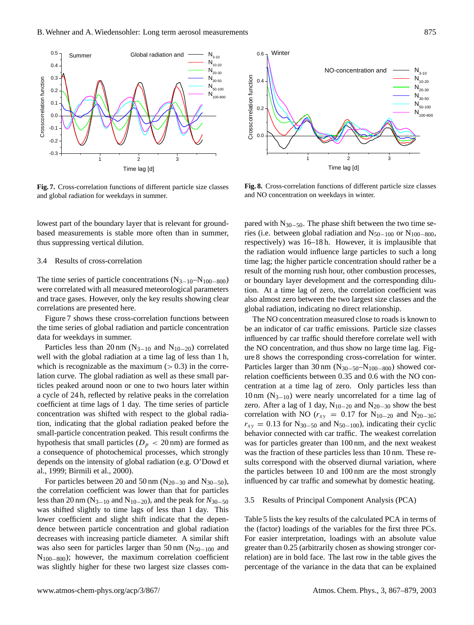

**Fig. 7.** Cross-correlation functions of different particle size classes and global radiation for weekdays in summer.

lowest part of the boundary layer that is relevant for groundbased measurements is stable more often than in summer, thus suppressing vertical dilution.

## 3.4 Results of cross-correlation

The time series of particle concentrations  $(N_{3-10}-N_{100-800})$ were correlated with all measured meteorological parameters and trace gases. However, only the key results showing clear correlations are presented here.

Figure 7 shows these cross-correlation functions between the time series of global radiation and particle concentration data for weekdays in summer.

Particles less than 20 nm ( $N_{3-10}$  and  $N_{10-20}$ ) correlated well with the global radiation at a time lag of less than 1 h, which is recognizable as the maximum  $(> 0.3)$  in the correlation curve. The global radiation as well as these small particles peaked around noon or one to two hours later within a cycle of 24 h, reflected by relative peaks in the correlation coefficient at time lags of 1 day. The time series of particle concentration was shifted with respect to the global radiation, indicating that the global radiation peaked before the small-particle concentration peaked. This result confirms the hypothesis that small particles ( $D_p < 20$  nm) are formed as a consequence of photochemical processes, which strongly depends on the intensity of global radiation (e.g. O'Dowd et al., 1999; Birmili et al., 2000).

For particles between 20 and 50 nm ( $N_{20-30}$  and  $N_{30-50}$ ), the correlation coefficient was lower than that for particles less than 20 nm (N3−<sup>10</sup> and N10−20), and the peak for *N*30−<sup>50</sup> was shifted slightly to time lags of less than 1 day. This lower coefficient and slight shift indicate that the dependence between particle concentration and global radiation decreases with increasing particle diameter. A similar shift was also seen for particles larger than 50 nm ( $N_{50-100}$  and N100−800); however, the maximum correlation coefficient was slightly higher for these two largest size classes com-



**Fig. 8.** Cross-correlation functions of different particle size classes and NO concentration on weekdays in winter.

pared with  $N_{30-50}$ . The phase shift between the two time series (i.e. between global radiation and  $N_{50-100}$  or  $N_{100-800}$ , respectively) was 16–18 h. However, it is implausible that the radiation would influence large particles to such a long time lag; the higher particle concentration should rather be a result of the morning rush hour, other combustion processes, or boundary layer development and the corresponding dilution. At a time lag of zero, the correlation coefficient was also almost zero between the two largest size classes and the global radiation, indicating no direct relationship.

The NO concentration measured close to roads is known to be an indicator of car traffic emissions. Particle size classes influenced by car traffic should therefore correlate well with the NO concentration, and thus show no large time lag. Figure 8 shows the corresponding cross-correlation for winter. Particles larger than 30 nm (N<sub>30−50</sub>–N<sub>100−800</sub>) showed correlation coefficients between 0.35 and 0.6 with the NO concentration at a time lag of zero. Only particles less than 10 nm  $(N_{3-10})$  were nearly uncorrelated for a time lag of zero. After a lag of 1 day,  $N_{10-20}$  and  $N_{20-30}$  show the best correlation with NO ( $r_{xy} = 0.17$  for N<sub>10−20</sub> and N<sub>20−30</sub>;  $r_{xy} = 0.13$  for N<sub>30−50</sub> and N<sub>50−100</sub>), indicating their cyclic behavior connected with car traffic. The weakest correlation was for particles greater than 100 nm, and the next weakest was the fraction of these particles less than 10 nm. These results correspond with the observed diurnal variation, where the particles between 10 and 100 nm are the most strongly influenced by car traffic and somewhat by domestic heating.

## 3.5 Results of Principal Component Analysis (PCA)

Table 5 lists the key results of the calculated PCA in terms of the (factor) loadings of the variables for the first three PCs. For easier interpretation, loadings with an absolute value greater than 0.25 (arbitrarily chosen as showing stronger correlation) are in bold face. The last row in the table gives the percentage of the variance in the data that can be explained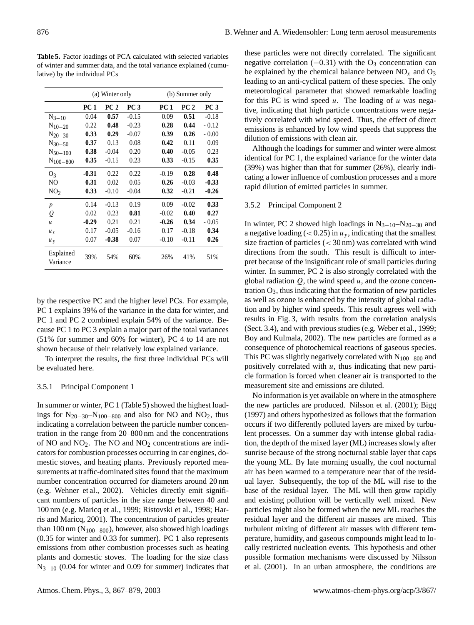|                       | (a) Winter only |                 |         |             | (b) Summer only |                 |  |  |
|-----------------------|-----------------|-----------------|---------|-------------|-----------------|-----------------|--|--|
|                       | <b>PC</b> 1     | PC <sub>2</sub> | PC 3    | <b>PC</b> 1 | PC <sub>2</sub> | PC <sub>3</sub> |  |  |
| $N_{3-10}$            | 0.04            | 0.57            | $-0.15$ | 0.09        | 0.51            | $-0.18$         |  |  |
| $N_{10-20}$           | 0.22            | 0.48            | $-0.23$ | 0.28        | 0.44            | $-0.12$         |  |  |
| $N_{20-30}$           | 0.33            | 0.29            | $-0.07$ | 0.39        | 0.26            | $-0.00$         |  |  |
| $N_{30-50}$           | 0.37            | 0.13            | 0.08    | 0.42        | 0.11            | 0.09            |  |  |
| $N_{50-100}$          | 0.38            | $-0.04$         | 0.20    | 0.40        | $-0.05$         | 0.23            |  |  |
| $N_{100-800}$         | 0.35            | $-0.15$         | 0.23    | 0.33        | $-0.15$         | 0.35            |  |  |
| O <sub>3</sub>        | $-0.31$         | 0.22            | 0.22    | $-0.19$     | 0.28            | 0.48            |  |  |
| NO                    | 0.31            | 0.02            | 0.05    | 0.26        | $-0.03$         | $-0.33$         |  |  |
| NO <sub>2</sub>       | 0.33            | $-0.10$         | $-0.04$ | 0.32        | $-0.21$         | $-0.26$         |  |  |
| $\boldsymbol{p}$      | 0.14            | $-0.13$         | 0.19    | 0.09        | $-0.02$         | 0.33            |  |  |
| Q                     | 0.02            | 0.23            | 0.81    | $-0.02$     | 0.40            | 0.27            |  |  |
| $\boldsymbol{u}$      | $-0.29$         | 0.21            | 0.21    | $-0.26$     | 0.34            | $-0.05$         |  |  |
| $u_x$                 | 0.17            | $-0.05$         | $-0.16$ | 0.17        | $-0.18$         | 0.34            |  |  |
| u <sub>v</sub>        | 0.07            | $-0.38$         | 0.07    | $-0.10$     | $-0.11$         | 0.26            |  |  |
| Explained<br>Variance | 39%             | 54%             | 60%     | 26%         | 41%             | 51%             |  |  |

**Table 5.** Factor loadings of PCA calculated with selected variables of winter and summer data, and the total variance explained (cumulative) by the individual PCs

by the respective PC and the higher level PCs. For example, PC 1 explains 39% of the variance in the data for winter, and PC 1 and PC 2 combined explain 54% of the variance. Because PC 1 to PC 3 explain a major part of the total variances (51% for summer and 60% for winter), PC 4 to 14 are not shown because of their relatively low explained variance.

To interpret the results, the first three individual PCs will be evaluated here.

#### 3.5.1 Principal Component 1

In summer or winter, PC 1 (Table 5) showed the highest loadings for  $N_{20-30}$ – $N_{100-800}$  and also for NO and NO<sub>2</sub>, thus indicating a correlation between the particle number concentration in the range from 20–800 nm and the concentrations of NO and  $NO<sub>2</sub>$ . The NO and  $NO<sub>2</sub>$  concentrations are indicators for combustion processes occurring in car engines, domestic stoves, and heating plants. Previously reported measurements at traffic-dominated sites found that the maximum number concentration occurred for diameters around 20 nm (e.g. Wehner et al., 2002). Vehicles directly emit significant numbers of particles in the size range between 40 and 100 nm (e.g. Maricq et al., 1999; Ristovski et al., 1998; Harris and Maricq, 2001). The concentration of particles greater than 100 nm ( $N_{100-800}$ ), however, also showed high loadings (0.35 for winter and 0.33 for summer). PC 1 also represents emissions from other combustion processes such as heating plants and domestic stoves. The loading for the size class  $N_{3-10}$  (0.04 for winter and 0.09 for summer) indicates that these particles were not directly correlated. The significant negative correlation  $(-0.31)$  with the O<sub>3</sub> concentration can be explained by the chemical balance between  $NO<sub>x</sub>$  and  $O<sub>3</sub>$ leading to an anti-cyclical pattern of these species. The only meteorological parameter that showed remarkable loading for this PC is wind speed  $u$ . The loading of  $u$  was negative, indicating that high particle concentrations were negatively correlated with wind speed. Thus, the effect of direct emissions is enhanced by low wind speeds that suppress the dilution of emissions with clean air.

Although the loadings for summer and winter were almost identical for PC 1, the explained variance for the winter data (39%) was higher than that for summer (26%), clearly indicating a lower influence of combustion processes and a more rapid dilution of emitted particles in summer.

# 3.5.2 Principal Component 2

In winter, PC 2 showed high loadings in  $N_{3-10}-N_{20-30}$  and a negative loading ( $< 0.25$ ) in  $u<sub>y</sub>$ , indicating that the smallest size fraction of particles  $\left($  < 30 nm) was correlated with wind directions from the south. This result is difficult to interpret because of the insignificant role of small particles during winter. In summer, PC 2 is also strongly correlated with the global radiation  $Q$ , the wind speed  $u$ , and the ozone concentration  $O_3$ , thus indicating that the formation of new particles as well as ozone is enhanced by the intensity of global radiation and by higher wind speeds. This result agrees well with results in Fig. 3, with results from the correlation analysis (Sect. 3.4), and with previous studies (e.g. Weber et al., 1999; Boy and Kulmala, 2002). The new particles are formed as a consequence of photochemical reactions of gaseous species. This PC was slightly negatively correlated with  $N_{100-800}$  and positively correlated with  $u$ , thus indicating that new particle formation is forced when cleaner air is transported to the measurement site and emissions are diluted.

No information is yet available on where in the atmosphere the new particles are produced. Nilsson et al. (2001); Bigg (1997) and others hypothesized as follows that the formation occurs if two differently polluted layers are mixed by turbulent processes. On a summer day with intense global radiation, the depth of the mixed layer (ML) increases slowly after sunrise because of the strong nocturnal stable layer that caps the young ML. By late morning usually, the cool nocturnal air has been warmed to a temperature near that of the residual layer. Subsequently, the top of the ML will rise to the base of the residual layer. The ML will then grow rapidly and existing pollution will be vertically well mixed. New particles might also be formed when the new ML reaches the residual layer and the different air masses are mixed. This turbulent mixing of different air masses with different temperature, humidity, and gaseous compounds might lead to locally restricted nucleation events. This hypothesis and other possible formation mechanisms were discussed by Nilsson et al. (2001). In an urban atmosphere, the conditions are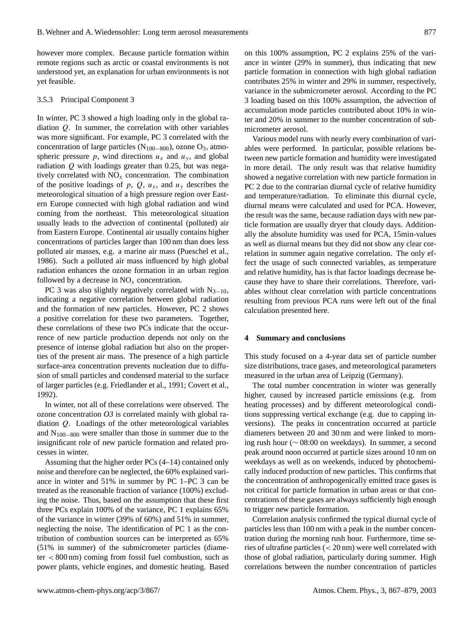however more complex. Because particle formation within remote regions such as arctic or coastal environments is not understood yet, an explanation for urban environments is not yet feasible.

#### 3.5.3 Principal Component 3

In winter, PC 3 showed a high loading only in the global radiation Q. In summer, the correlation with other variables was more significant. For example, PC 3 correlated with the concentration of large particles ( $N_{100-800}$ ), ozone O<sub>3</sub>, atmospheric pressure p, wind directions  $u_x$  and  $u_y$ , and global radiation  $Q$  with loadings greater than 0.25, but was negatively correlated with  $NO<sub>x</sub>$  concentration. The combination of the positive loadings of p, Q,  $u_x$ , and  $u_y$  describes the meteorological situation of a high pressure region over Eastern Europe connected with high global radiation and wind coming from the northeast. This meteorological situation usually leads to the advection of continental (polluted) air from Eastern Europe. Continental air usually contains higher concentrations of particles larger than 100 nm than does less polluted air masses, e.g. a marine air mass (Pueschel et al., 1986). Such a polluted air mass influenced by high global radiation enhances the ozone formation in an urban region followed by a decrease in  $NO<sub>x</sub>$  concentration.

PC 3 was also slightly negatively correlated with  $N_{3-10}$ , indicating a negative correlation between global radiation and the formation of new particles. However, PC 2 shows a positive correlation for these two parameters. Together, these correlations of these two PCs indicate that the occurrence of new particle production depends not only on the presence of intense global radiation but also on the properties of the present air mass. The presence of a high particle surface-area concentration prevents nucleation due to diffusion of small particles and condensed material to the surface of larger particles (e.g. Friedlander et al., 1991; Covert et al., 1992).

In winter, not all of these correlations were observed. The ozone concentration *O3* is correlated mainly with global radiation Q. Loadings of the other meteorological variables and  $N_{100-800}$  were smaller than those in summer due to the insignificant role of new particle formation and related processes in winter.

Assuming that the higher order PCs (4–14) contained only noise and therefore can be neglected, the 60% explained variance in winter and 51% in summer by PC 1–PC 3 can be treated as the reasonable fraction of variance (100%) excluding the noise. Thus, based on the assumption that these first three PCs explain 100% of the variance, PC 1 explains 65% of the variance in winter (39% of 60%) and 51% in summer, neglecting the noise. The identification of PC 1 as the contribution of combustion sources can be interpreted as 65% (51% in summer) of the submicrometer particles (diame $ter < 800 \text{ nm}$ ) coming from fossil fuel combustion, such as power plants, vehicle engines, and domestic heating. Based on this 100% assumption, PC 2 explains 25% of the variance in winter (29% in summer), thus indicating that new particle formation in connection with high global radiation contributes 25% in winter and 29% in summer, respectively, variance in the submicrometer aerosol. According to the PC 3 loading based on this 100% assumption, the advection of accumulation mode particles contributed about 10% in winter and 20% in summer to the number concentration of submicrometer aerosol.

Various model runs with nearly every combination of variables were performed. In particular, possible relations between new particle formation and humidity were investigated in more detail. The only result was that relative humidity showed a negative correlation with new particle formation in PC 2 due to the contrarian diurnal cycle of relative humidity and temperature/radiation. To eliminate this diurnal cycle, diurnal means were calculated and used for PCA. However, the result was the same, because radiation days with new particle formation are usually dryer that cloudy days. Additionally the absolute humidity was used for PCA, 15min-values as well as diurnal means but they did not show any clear correlation in summer again negative correlation. The only effect the usage of such connected variables, as temperature and relative humidity, has is that factor loadings decrease because they have to share their correlations. Therefore, variables without clear correlation with particle concentrations resulting from previous PCA runs were left out of the final calculation presented here.

## **4 Summary and conclusions**

This study focused on a 4-year data set of particle number size distributions, trace gases, and meteorological parameters measured in the urban area of Leipzig (Germany).

The total number concentration in winter was generally higher, caused by increased particle emissions (e.g. from heating processes) and by different meteorological conditions suppressing vertical exchange (e.g. due to capping inversions). The peaks in concentration occurred at particle diameters between 20 and 30 nm and were linked to morning rush hour (∼ 08:00 on weekdays). In summer, a second peak around noon occurred at particle sizes around 10 nm on weekdays as well as on weekends, induced by photochemically induced production of new particles. This confirms that the concentration of anthropogenically emitted trace gases is not critical for particle formation in urban areas or that concentrations of these gases are always sufficiently high enough to trigger new particle formation.

Correlation analysis confirmed the typical diurnal cycle of particles less than 100 nm with a peak in the number concentration during the morning rush hour. Furthermore, time series of ultrafine particles (< 20 nm) were well correlated with those of global radiation, particularly during summer. High correlations between the number concentration of particles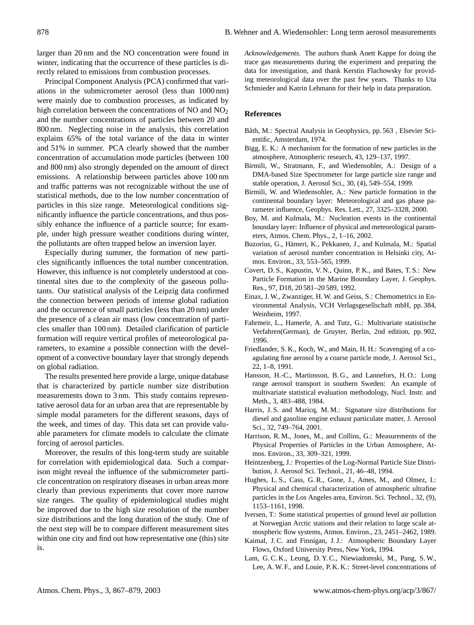larger than 20 nm and the NO concentration were found in winter, indicating that the occurrence of these particles is directly related to emissions from combustion processes.

Principal Component Analysis (PCA) confirmed that variations in the submicrometer aerosol (less than 1000 nm) were mainly due to combustion processes, as indicated by high correlation between the concentrations of NO and NO<sub>2</sub> and the number concentrations of particles between 20 and 800 nm. Neglecting noise in the analysis, this correlation explains 65% of the total variance of the data in winter and 51% in summer. PCA clearly showed that the number concentration of accumulation mode particles (between 100 and 800 nm) also strongly depended on the amount of direct emissions. A relationship between particles above 100 nm and traffic patterns was not recognizable without the use of statistical methods, due to the low number concentration of particles in this size range. Meteorological conditions significantly influence the particle concentrations, and thus possibly enhance the influence of a particle source; for example, under high pressure weather conditions during winter, the pollutants are often trapped below an inversion layer.

Especially during summer, the formation of new particles significantly influences the total number concentration. However, this influence is not completely understood at continental sites due to the complexity of the gaseous pollutants. Our statistical analysis of the Leipzig data confirmed the connection between periods of intense global radiation and the occurrence of small particles (less than 20 nm) under the presence of a clean air mass (low concentration of particles smaller than 100 nm). Detailed clarification of particle formation will require vertical profiles of meteorological parameters, to examine a possible connection with the development of a convective boundary layer that strongly depends on global radiation.

The results presented here provide a large, unique database that is characterized by particle number size distribution measurements down to 3 nm. This study contains representative aerosol data for an urban area that are representable by simple modal parameters for the different seasons, days of the week, and times of day. This data set can provide valuable parameters for climate models to calculate the climate forcing of aerosol particles.

Moreover, the results of this long-term study are suitable for correlation with epidemiological data. Such a comparison might reveal the influence of the submicrometer particle concentration on respiratory diseases in urban areas more clearly than previous experiments that cover more narrow size ranges. The quality of epidemiological studies might be improved due to the high size resolution of the number size distributions and the long duration of the study. One of the next step will be to compare different measurement sites within one city and find out how representative one (this) site is.

*Acknowledgements.* The authors thank Anett Kappe for doing the trace gas measurements during the experiment and preparing the data for investigation, and thank Kerstin Flachowsky for providing meteorological data over the past few years. Thanks to Uta Schmieder and Katrin Lehmann for their help in data preparation.

#### **References**

- Båth, M.: Spectral Analysis in Geophysics, pp. 563, Elsevier Scientific, Amsterdam, 1974.
- Bigg, E. K.: A mechanism for the formation of new particles in the atmosphere, Atmospheric research, 43, 129–137, 1997.
- Birmili, W., Stratmann, F., and Wiedensohler, A.: Design of a DMA-based Size Spectrometer for large particle size range and stable operation, J. Aerosol Sci., 30, (4), 549–554, 1999.
- Birmili, W. and Wiedensohler, A.: New particle formation in the continental boundary layer: Meteorological and gas phase parameter influence, Geophys. Res. Lett., 27, 3325–3328, 2000.
- Boy, M. and Kulmala, M.: Nucleation events in the continental boundary layer: Influence of physical and meteorological parameters, Atmos. Chem. Phys., 2, 1–16, 2002.
- Buzorius, G., Hameri, K., Pekkanen, J., and Kulmala, M.: Spatial ¨ variation of aerosol number concentration in Helsinki city, Atmos. Environ., 33, 553–565, 1999.
- Covert, D. S., Kapustin, V. N., Quinn, P. K., and Bates, T. S.: New Particle Formation in the Marine Boundary Layer, J. Geophys. Res., 97, D18, 20 581–20 589, 1992.
- Einax, J. W., Zwanziger, H. W. and Geiss, S.: Chemometrics in Environmental Analysis, VCH Verlagsgesellschaft mbH, pp. 384, Weinheim, 1997.
- Fahrmeir, L., Hamerle, A. and Tutz, G.: Multivariate statistische Verfahren(German), de Gruyter, Berlin, 2nd edition, pp. 902, 1996.
- Friedlander, S. K., Koch, W., and Main, H. H.: Scavenging of a coagulating fine aerosol by a coarse particle mode, J. Aerosol Sci., 22, 1–8, 1991.
- Hansson, H.-C., Martinsson, B. G., and Lannefors, H. O.: Long range aerosol transport in southern Sweden: An example of multivariate statistical evaluation methodology, Nucl. Instr. and Meth., 3, 483–488, 1984.
- Harris, J. S. and Maricq, M. M.: Signature size distributions for diesel and gasoline engine exhaust particulate matter, J. Aerosol Sci., 32, 749–764, 2001.
- Harrison, R. M., Jones, M., and Collins, G.: Measurements of the Physical Properties of Particles in the Urban Atmosphere, Atmos. Environ., 33, 309–321, 1999.
- Heintzenberg, J.: Properties of the Log-Normal Particle Size Distribution, J. Aerosol Sci. Technol., 21, 46–48, 1994.
- Hughes, L. S., Cass, G. R., Gone, J., Ames, M., and Olmez, I.: Physical and chemical characterization of atmospheric ultrafine particles in the Los Angeles area, Environ. Sci. Technol., 32, (9), 1153–1161, 1998.
- Iversen, T.: Some statistical properties of ground level air pollution at Norwegian Arctic stations and their relation to large scale atmospheric flow systems, Atmos. Environ., 23, 2451–2462, 1989.
- Kaimal, J. C. and Finnigan, J. J.: Atmospheric Boundary Layer Flows, Oxford University Press, New York, 1994.
- Lam, G. C. K., Leung, D. Y. C., Niewiadomski, M., Pang, S. W., Lee, A. W. F., and Louie, P. K. K.: Street-level concentrations of